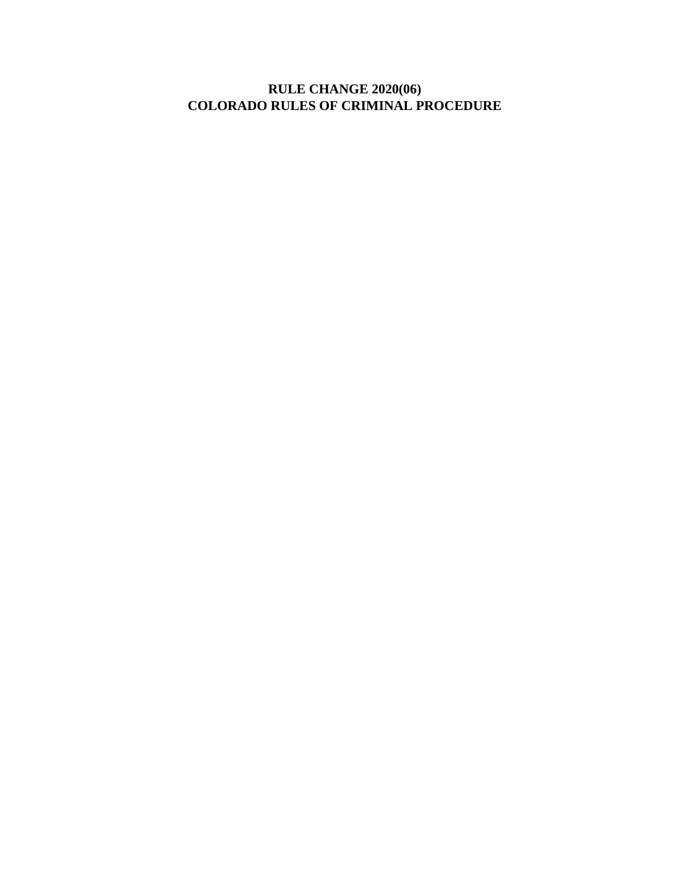# **RULE CHANGE 2020(06) COLORADO RULES OF CRIMINAL PROCEDURE**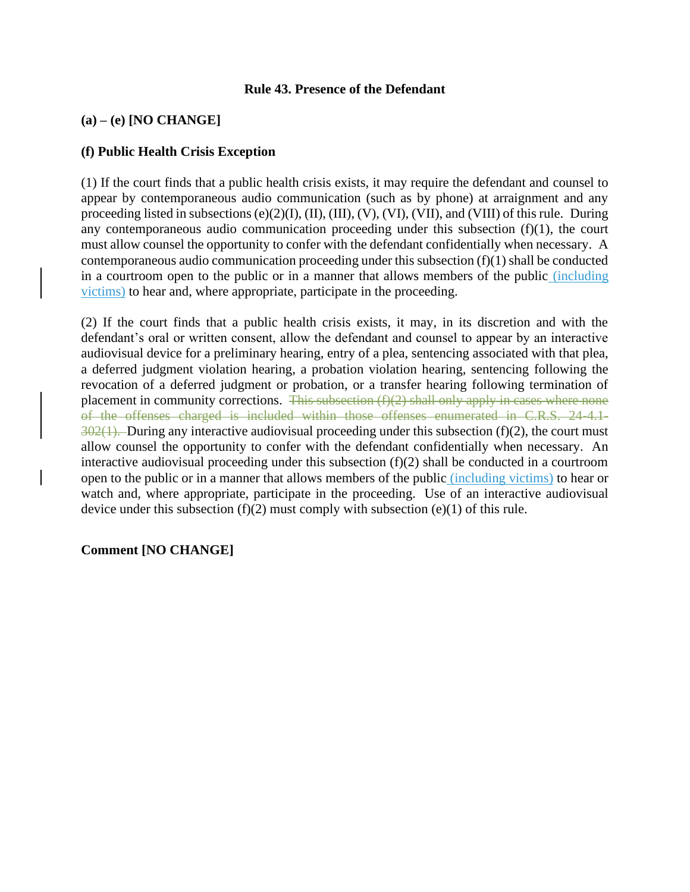#### **Rule 43. Presence of the Defendant**

## **(a) – (e) [NO CHANGE]**

## **(f) Public Health Crisis Exception**

(1) If the court finds that a public health crisis exists, it may require the defendant and counsel to appear by contemporaneous audio communication (such as by phone) at arraignment and any proceeding listed in subsections (e)(2)(I), (II), (III), (V), (VI), (VII), and (VIII) of this rule. During any contemporaneous audio communication proceeding under this subsection  $(f)(1)$ , the court must allow counsel the opportunity to confer with the defendant confidentially when necessary. A contemporaneous audio communication proceeding under this subsection (f)(1) shall be conducted in a courtroom open to the public or in a manner that allows members of the public (including victims) to hear and, where appropriate, participate in the proceeding.

(2) If the court finds that a public health crisis exists, it may, in its discretion and with the defendant's oral or written consent, allow the defendant and counsel to appear by an interactive audiovisual device for a preliminary hearing, entry of a plea, sentencing associated with that plea, a deferred judgment violation hearing, a probation violation hearing, sentencing following the revocation of a deferred judgment or probation, or a transfer hearing following termination of placement in community corrections. This subsection  $(f)(2)$  shall only apply in cases where none of the offenses charged is included within those offenses enumerated in C.R.S. 24-4.1-  $302(1)$ . During any interactive audiovisual proceeding under this subsection (f)(2), the court must allow counsel the opportunity to confer with the defendant confidentially when necessary. An interactive audiovisual proceeding under this subsection  $(f)(2)$  shall be conducted in a courtroom open to the public or in a manner that allows members of the public (including victims) to hear or watch and, where appropriate, participate in the proceeding. Use of an interactive audiovisual device under this subsection  $(f)(2)$  must comply with subsection  $(e)(1)$  of this rule.

#### **Comment [NO CHANGE]**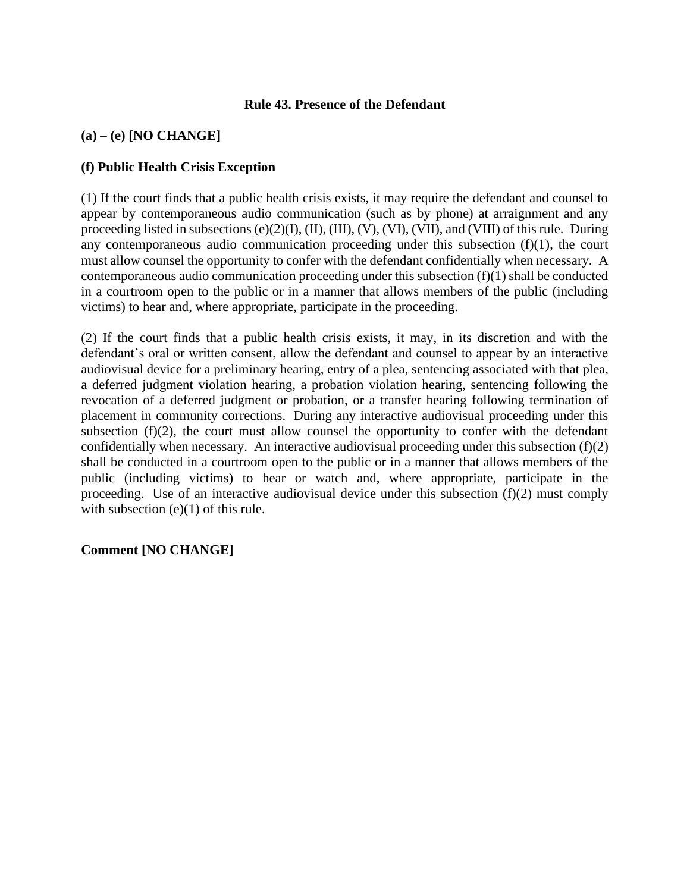## **Rule 43. Presence of the Defendant**

# **(a) – (e) [NO CHANGE]**

## **(f) Public Health Crisis Exception**

(1) If the court finds that a public health crisis exists, it may require the defendant and counsel to appear by contemporaneous audio communication (such as by phone) at arraignment and any proceeding listed in subsections (e)(2)(I), (II), (III), (V), (VI), (VII), and (VIII) of this rule. During any contemporaneous audio communication proceeding under this subsection (f)(1), the court must allow counsel the opportunity to confer with the defendant confidentially when necessary. A contemporaneous audio communication proceeding under this subsection (f)(1) shall be conducted in a courtroom open to the public or in a manner that allows members of the public (including victims) to hear and, where appropriate, participate in the proceeding.

(2) If the court finds that a public health crisis exists, it may, in its discretion and with the defendant's oral or written consent, allow the defendant and counsel to appear by an interactive audiovisual device for a preliminary hearing, entry of a plea, sentencing associated with that plea, a deferred judgment violation hearing, a probation violation hearing, sentencing following the revocation of a deferred judgment or probation, or a transfer hearing following termination of placement in community corrections. During any interactive audiovisual proceeding under this subsection (f)(2), the court must allow counsel the opportunity to confer with the defendant confidentially when necessary. An interactive audiovisual proceeding under this subsection (f)(2) shall be conducted in a courtroom open to the public or in a manner that allows members of the public (including victims) to hear or watch and, where appropriate, participate in the proceeding. Use of an interactive audiovisual device under this subsection (f)(2) must comply with subsection (e)(1) of this rule.

#### **Comment [NO CHANGE]**